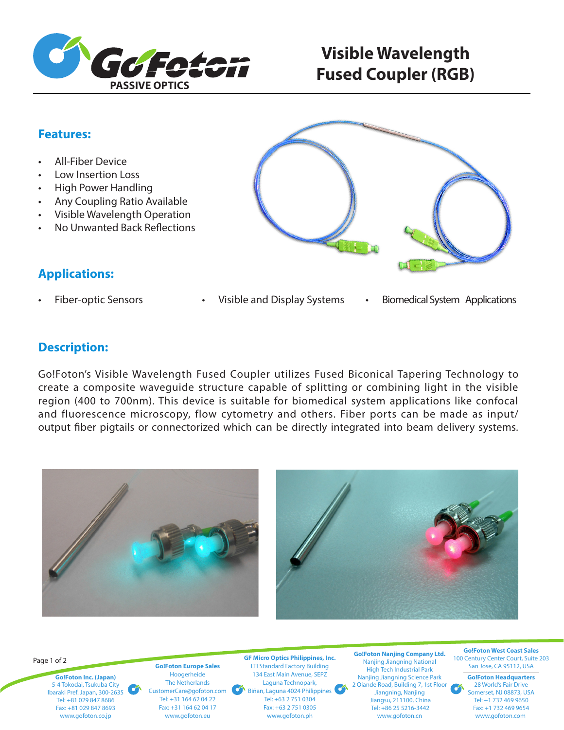

# **Visible Wavelength**

#### **Features:**

- All-Fiber Device
- Low Insertion Loss
- High Power Handling
- Any Coupling Ratio Available
- Visible Wavelength Operation
- No Unwanted Back Reflections

## **Applications:**

- 
- Fiber-optic Sensors Visible and Display Systems Biomedical System Applications
	-

### **Description:**

Go!Foton's Visible Wavelength Fused Coupler utilizes Fused Biconical Tapering Technology to create a composite waveguide structure capable of splitting or combining light in the visible region (400 to 700nm). This device is suitable for biomedical system applications like confocal and fluorescence microscopy, flow cytometry and others. Fiber ports can be made as input/ output fiber pigtails or connectorized which can be directly integrated into beam delivery systems.



Page 1 of 2

**Go!Foton Inc. (Japan)** 5-4 Tokodai, Tsukuba City Ibaraki Pref. Japan, 300-2635 Tel: +81 029 847 8686 Fax: +81 029 847 8693 www.gofoton.co.jp

**Go!Foton Europe Sales** Hoogerheide The Netherlands CustomerCare@gofoton.com Tel: +31 164 62 04 22 Fax: +31 164 62 04 17 www.gofoton.eu

( of

**GF Micro Optics Philippines, Inc.** LTI Standard Factory Building 134 East Main Avenue, SEPZ Laguna Technopark, Biñan, Laguna 4024 Philippines Tel: +63 2 751 0304 Fax: +63 2 751 0305 www.gofoton.ph

**Go!Foton Nanjing Company Ltd.** Nanjing Jiangning National High Tech Industrial Park Nanjing Jiangning Science Park 2 Qiande Road, Building 7, 1st Floor Jiangning, Nanjing Jiangsu, 211100, China Tel: +86 25 5216-3442 www.gofoton.cn

**Go!Foton West Coast Sales** 100 Century Center Court, Suite 203 San Jose, CA 95112, USA

**Go!Foton Headquarters** 28 World's Fair Drive  $\bullet$ Somerset, NJ 08873, USA Tel: +1 732 469 9650 Fax: +1 732 469 9654 www.gofoton.com